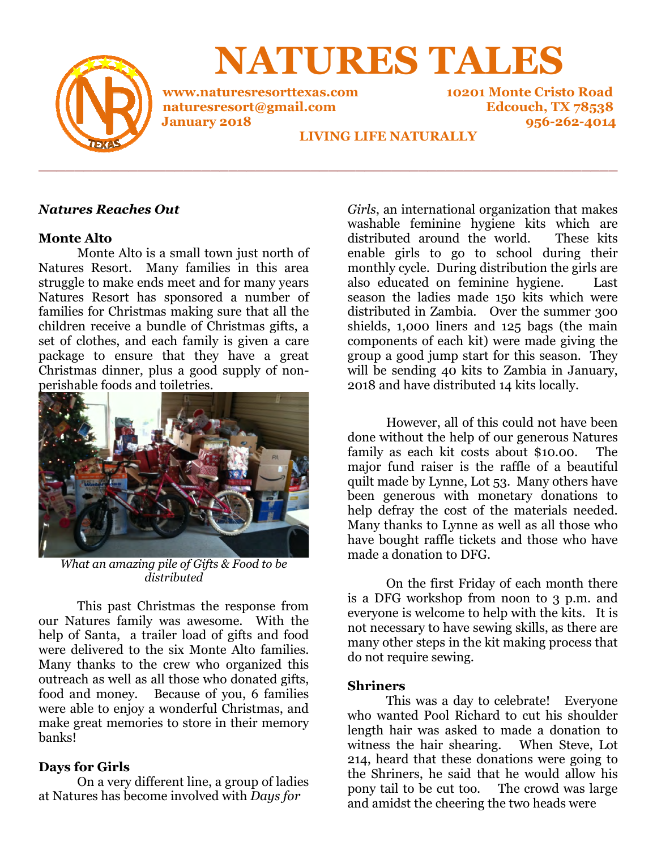

**NATURES TALES**

**www.naturesresorttexas.com 10201 Monte Cristo Road naturesresort@gmail.com Edcouch, TX 78538** 

**January 2018 956-262-4014** 

# **LIVING LIFE NATURALLY**

**\_\_\_\_\_\_\_\_\_\_\_\_\_\_\_\_\_\_\_\_\_\_\_\_\_\_\_\_\_\_\_\_\_\_\_\_\_\_\_\_\_\_\_\_\_\_\_\_\_\_\_\_\_\_\_\_\_\_\_\_\_\_\_\_** 

# *Natures Reaches Out*

### **Monte Alto**

 Monte Alto is a small town just north of Natures Resort. Many families in this area struggle to make ends meet and for many years Natures Resort has sponsored a number of families for Christmas making sure that all the children receive a bundle of Christmas gifts, a set of clothes, and each family is given a care package to ensure that they have a great Christmas dinner, plus a good supply of nonperishable foods and toiletries.



*What an amazing pile of Gifts & Food to be distributed* 

 This past Christmas the response from our Natures family was awesome. With the help of Santa, a trailer load of gifts and food were delivered to the six Monte Alto families. Many thanks to the crew who organized this outreach as well as all those who donated gifts, food and money. Because of you, 6 families were able to enjoy a wonderful Christmas, and make great memories to store in their memory banks!

# **Days for Girls**

 On a very different line, a group of ladies at Natures has become involved with *Days for* 

*Girls*, an international organization that makes washable feminine hygiene kits which are distributed around the world. These kits enable girls to go to school during their monthly cycle. During distribution the girls are also educated on feminine hygiene. Last season the ladies made 150 kits which were distributed in Zambia. Over the summer 300 shields, 1,000 liners and 125 bags (the main components of each kit) were made giving the group a good jump start for this season. They will be sending 40 kits to Zambia in January, 2018 and have distributed 14 kits locally.

 However, all of this could not have been done without the help of our generous Natures family as each kit costs about \$10.00. The major fund raiser is the raffle of a beautiful quilt made by Lynne, Lot 53. Many others have been generous with monetary donations to help defray the cost of the materials needed. Many thanks to Lynne as well as all those who have bought raffle tickets and those who have made a donation to DFG.

 On the first Friday of each month there is a DFG workshop from noon to 3 p.m. and everyone is welcome to help with the kits. It is not necessary to have sewing skills, as there are many other steps in the kit making process that do not require sewing.

# **Shriners**

 This was a day to celebrate! Everyone who wanted Pool Richard to cut his shoulder length hair was asked to made a donation to witness the hair shearing. When Steve, Lot 214, heard that these donations were going to the Shriners, he said that he would allow his pony tail to be cut too. The crowd was large and amidst the cheering the two heads were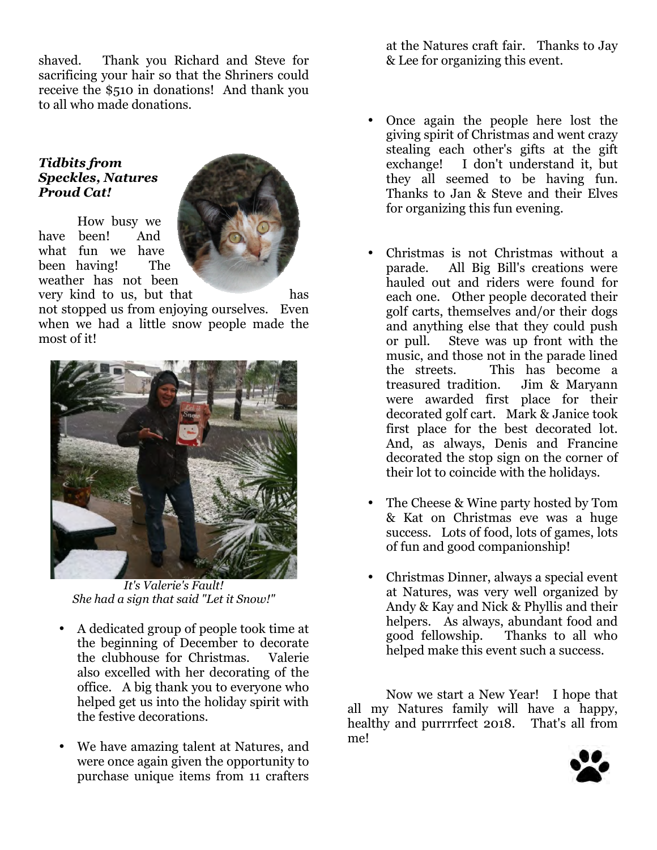shaved. Thank you Richard and Steve for sacrificing your hair so that the Shriners could receive the \$510 in donations! And thank you to all who made donations.

# *Tidbits from Speckles, Natures Proud Cat!*

 How busy we have been! And what fun we have been having! The weather has not been



very kind to us, but that has not stopped us from enjoying ourselves. Even when we had a little snow people made the most of it!



*It's Valerie's Fault! She had a sign that said "Let it Snow!"* 

- A dedicated group of people took time at the beginning of December to decorate the clubhouse for Christmas. Valerie also excelled with her decorating of the office. A big thank you to everyone who helped get us into the holiday spirit with the festive decorations.
- We have amazing talent at Natures, and were once again given the opportunity to purchase unique items from 11 crafters

at the Natures craft fair. Thanks to Jay & Lee for organizing this event.

- Once again the people here lost the giving spirit of Christmas and went crazy stealing each other's gifts at the gift exchange! I don't understand it, but they all seemed to be having fun. Thanks to Jan & Steve and their Elves for organizing this fun evening.
- Christmas is not Christmas without a parade. All Big Bill's creations were hauled out and riders were found for each one. Other people decorated their golf carts, themselves and/or their dogs and anything else that they could push or pull. Steve was up front with the music, and those not in the parade lined the streets. This has become a treasured tradition. Jim & Maryann were awarded first place for their decorated golf cart. Mark & Janice took first place for the best decorated lot. And, as always, Denis and Francine decorated the stop sign on the corner of their lot to coincide with the holidays.
- The Cheese & Wine party hosted by Tom & Kat on Christmas eve was a huge success. Lots of food, lots of games, lots of fun and good companionship!
- Christmas Dinner, always a special event at Natures, was very well organized by Andy & Kay and Nick & Phyllis and their helpers. As always, abundant food and good fellowship. Thanks to all who helped make this event such a success.

 Now we start a New Year! I hope that all my Natures family will have a happy, healthy and purrrrfect 2018. That's all from me!